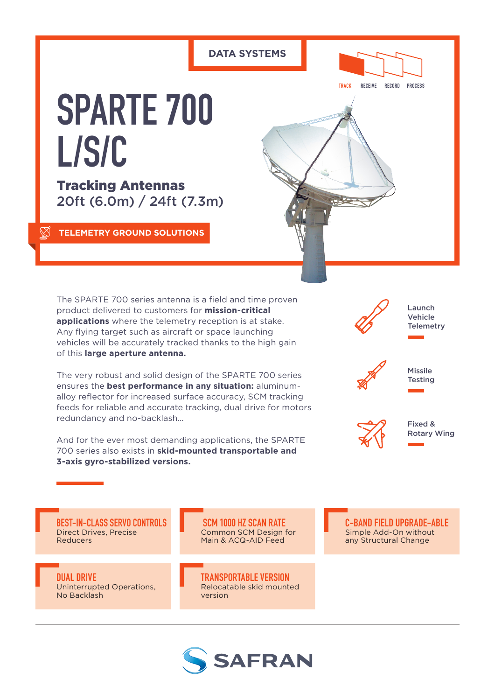### **DATA SYSTEMS**



**TRACK RECEIVE RECORD PROCESS**

# **SPARTE 700 L/S/C**

Tracking Antennas 20ft (6.0m) / 24ft (7.3m)

**TELEMETRY GROUND SOLUTIONS**



The SPARTE 700 series antenna is a field and time proven product delivered to customers for **mission-critical applications** where the telemetry reception is at stake. Any flying target such as aircraft or space launching vehicles will be accurately tracked thanks to the high gain of this **large aperture antenna.**

The very robust and solid design of the SPARTE 700 series ensures the **best performance in any situation:** aluminumalloy reflector for increased surface accuracy, SCM tracking feeds for reliable and accurate tracking, dual drive for motors redundancy and no-backlash…

And for the ever most demanding applications, the SPARTE 700 series also exists in **skid-mounted transportable and 3-axis gyro-stabilized versions.**



**C-BAND FIELD UPGRADE-ABLE** Simple Add-On without any Structural Change

**BEST-IN-CLASS SERVO CONTROLS** Direct Drives, Precise Reducers

**DUAL DRIVE** Uninterrupted Operations, No Backlash

 **SCM 1000 HZ SCAN RATE** Common SCM Design for Main & ACQ-AID Feed

**TRANSPORTABLE VERSION** Relocatable skid mounted version